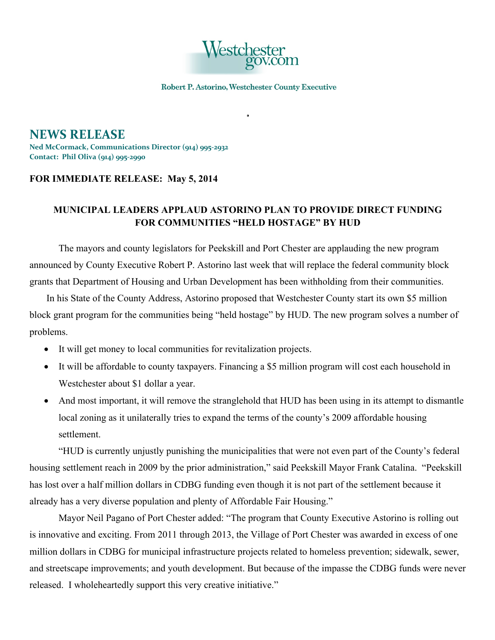

Robert P. Astorino, Westchester County Executive

**NEWS RELEASE Ned McCormack, Communications Director (914) 995-2932 Contact: Phil Oliva (914) 995-2990**

## **FOR IMMEDIATE RELEASE: May 5, 2014**

## **MUNICIPAL LEADERS APPLAUD ASTORINO PLAN TO PROVIDE DIRECT FUNDING FOR COMMUNITIES "HELD HOSTAGE" BY HUD**

The mayors and county legislators for Peekskill and Port Chester are applauding the new program announced by County Executive Robert P. Astorino last week that will replace the federal community block grants that Department of Housing and Urban Development has been withholding from their communities.

In his State of the County Address, Astorino proposed that Westchester County start its own \$5 million block grant program for the communities being "held hostage" by HUD. The new program solves a number of problems.

- It will get money to local communities for revitalization projects.
- It will be affordable to county taxpayers. Financing a \$5 million program will cost each household in Westchester about \$1 dollar a year.
- And most important, it will remove the stranglehold that HUD has been using in its attempt to dismantle local zoning as it unilaterally tries to expand the terms of the county's 2009 affordable housing settlement.

"HUD is currently unjustly punishing the municipalities that were not even part of the County's federal housing settlement reach in 2009 by the prior administration," said Peekskill Mayor Frank Catalina. "Peekskill has lost over a half million dollars in CDBG funding even though it is not part of the settlement because it already has a very diverse population and plenty of Affordable Fair Housing."

Mayor Neil Pagano of Port Chester added: "The program that County Executive Astorino is rolling out is innovative and exciting. From 2011 through 2013, the Village of Port Chester was awarded in excess of one million dollars in CDBG for municipal infrastructure projects related to homeless prevention; sidewalk, sewer, and streetscape improvements; and youth development. But because of the impasse the CDBG funds were never released. I wholeheartedly support this very creative initiative."